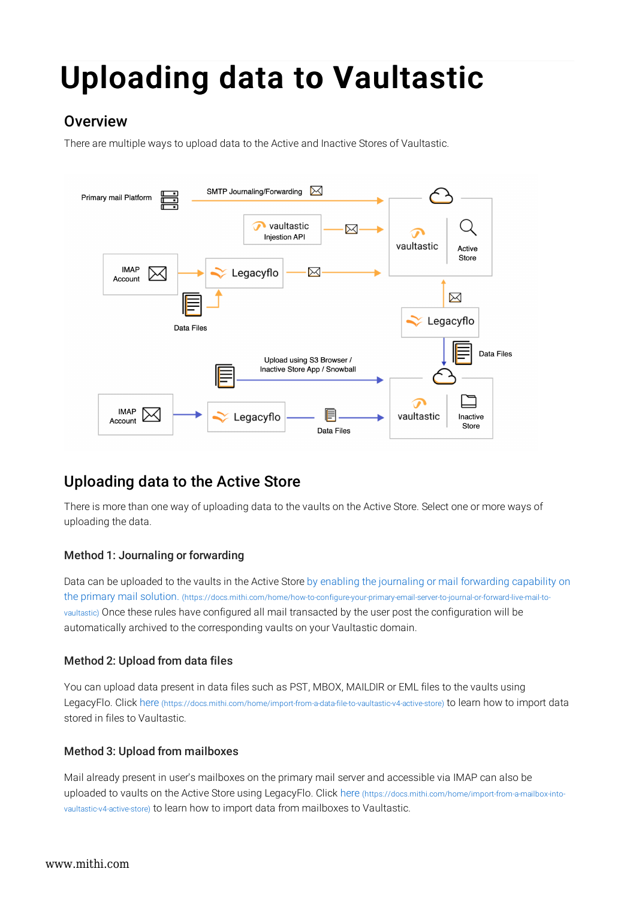# Uploading data to Vaultastic

# **Overview**

There are multiple ways to upload data to the Active and Inactive Stores of Vaultastic.



# Uploading data to the Active Store

There is more than one way of uploading data to the vaults on the Active Store. Select one or more ways of uploading the data.

## Method 1: Journaling or forwarding

Data can be uploaded to the vaults in the Active Store by enabling the journaling or mail forwarding capability on the primary mail solution. (https://docs.mithi.com/home/how-to-configure-your-primary-email-server-to-journal-or-forward-live-mail-tovaultastic) Once these rules have configured all mail transacted by the user post the configuration will be automatically archived to the corresponding vaults on your Vaultastic domain.

## Method 2: Upload from data files

You can upload data present in data files such as PST, MBOX, MAILDIR or EML files to the vaults using LegacyFlo. Click here (https://docs.mithi.com/home/import-from-a-data-file-to-vaultastic-v4-active-store) to learn how to import data stored in files to Vaultastic.

## Method 3: Upload from mailboxes

Mail already present in user's mailboxes on the primary mail server and accessible via IMAP can also be uploaded to vaults on the Active Store using LegacyFlo. Click here (https://docs.mithi.com/home/import-from-a-mailbox-intovaultastic-v4-active-store) to learn how to import data from mailboxes to Vaultastic.